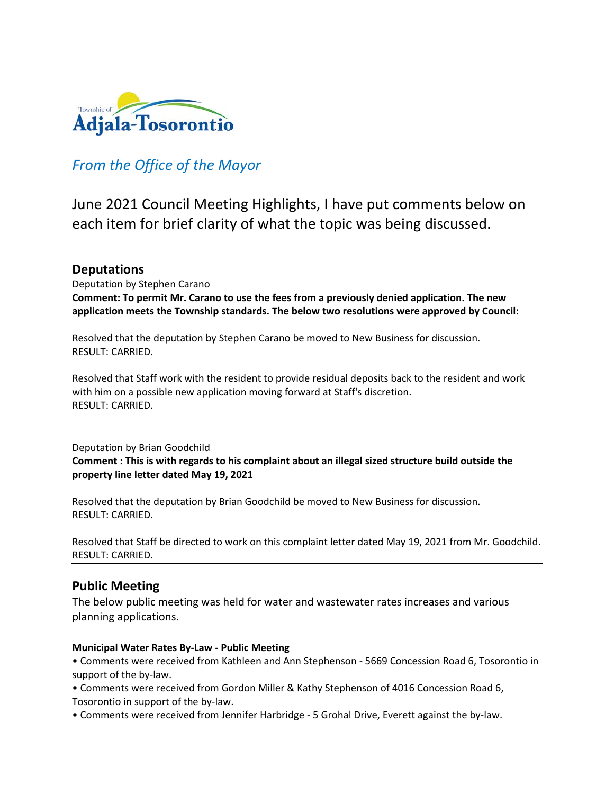

# *From the Office of the Mayor*

June 2021 Council Meeting Highlights, I have put comments below on each item for brief clarity of what the topic was being discussed.

# **Deputations**

Deputation by Stephen Carano **Comment: To permit Mr. Carano to use the fees from a previously denied application. The new application meets the Township standards. The below two resolutions were approved by Council:**

Resolved that the deputation by Stephen Carano be moved to New Business for discussion. RESULT: CARRIED.

Resolved that Staff work with the resident to provide residual deposits back to the resident and work with him on a possible new application moving forward at Staff's discretion. RESULT: CARRIED.

### Deputation by Brian Goodchild **Comment : This is with regards to his complaint about an illegal sized structure build outside the property line letter dated May 19, 2021**

Resolved that the deputation by Brian Goodchild be moved to New Business for discussion. RESULT: CARRIED.

Resolved that Staff be directed to work on this complaint letter dated May 19, 2021 from Mr. Goodchild. RESULT: CARRIED.

# **Public Meeting**

The below public meeting was held for water and wastewater rates increases and various planning applications.

#### **Municipal Water Rates By-Law - Public Meeting**

• Comments were received from Kathleen and Ann Stephenson - 5669 Concession Road 6, Tosorontio in support of the by-law.

- Comments were received from Gordon Miller & Kathy Stephenson of 4016 Concession Road 6, Tosorontio in support of the by-law.
- Comments were received from Jennifer Harbridge 5 Grohal Drive, Everett against the by-law.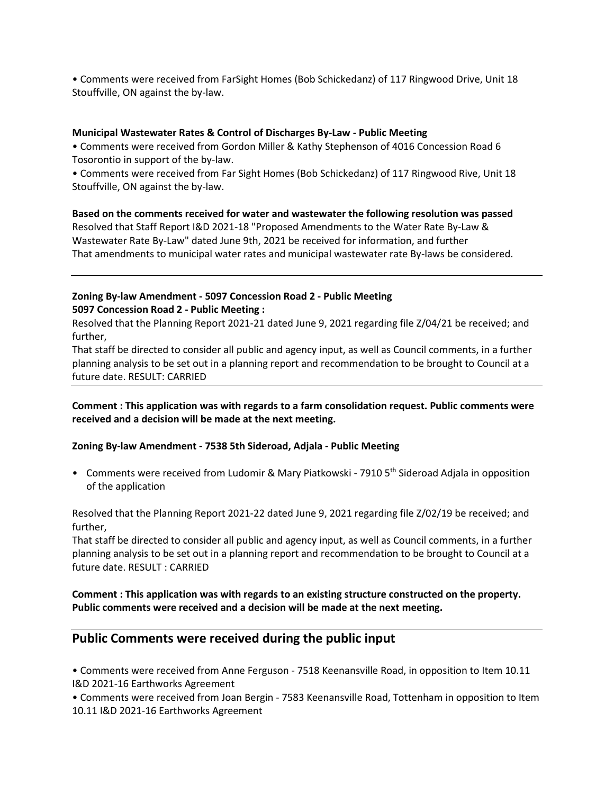• Comments were received from FarSight Homes (Bob Schickedanz) of 117 Ringwood Drive, Unit 18 Stouffville, ON against the by-law.

#### **Municipal Wastewater Rates & Control of Discharges By-Law - Public Meeting**

• Comments were received from Gordon Miller & Kathy Stephenson of 4016 Concession Road 6 Tosorontio in support of the by-law.

• Comments were received from Far Sight Homes (Bob Schickedanz) of 117 Ringwood Rive, Unit 18 Stouffville, ON against the by-law.

**Based on the comments received for water and wastewater the following resolution was passed** Resolved that Staff Report I&D 2021-18 "Proposed Amendments to the Water Rate By-Law & Wastewater Rate By-Law" dated June 9th, 2021 be received for information, and further That amendments to municipal water rates and municipal wastewater rate By-laws be considered.

## **Zoning By-law Amendment - 5097 Concession Road 2 - Public Meeting 5097 Concession Road 2 - Public Meeting :**

Resolved that the Planning Report 2021-21 dated June 9, 2021 regarding file Z/04/21 be received; and further,

That staff be directed to consider all public and agency input, as well as Council comments, in a further planning analysis to be set out in a planning report and recommendation to be brought to Council at a future date. RESULT: CARRIED

**Comment : This application was with regards to a farm consolidation request. Public comments were received and a decision will be made at the next meeting.**

#### **Zoning By-law Amendment - 7538 5th Sideroad, Adjala - Public Meeting**

• Comments were received from Ludomir & Mary Piatkowski - 7910 5<sup>th</sup> Sideroad Adjala in opposition of the application

Resolved that the Planning Report 2021-22 dated June 9, 2021 regarding file Z/02/19 be received; and further,

That staff be directed to consider all public and agency input, as well as Council comments, in a further planning analysis to be set out in a planning report and recommendation to be brought to Council at a future date. RESULT : CARRIED

### **Comment : This application was with regards to an existing structure constructed on the property. Public comments were received and a decision will be made at the next meeting.**

# **Public Comments were received during the public input**

• Comments were received from Anne Ferguson - 7518 Keenansville Road, in opposition to Item 10.11 I&D 2021-16 Earthworks Agreement

• Comments were received from Joan Bergin - 7583 Keenansville Road, Tottenham in opposition to Item 10.11 I&D 2021-16 Earthworks Agreement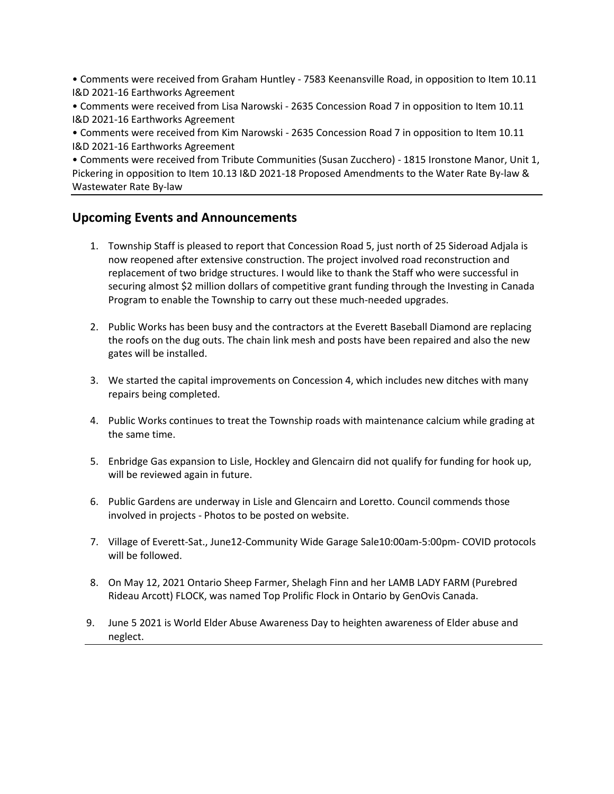• Comments were received from Graham Huntley - 7583 Keenansville Road, in opposition to Item 10.11 I&D 2021-16 Earthworks Agreement

• Comments were received from Lisa Narowski - 2635 Concession Road 7 in opposition to Item 10.11 I&D 2021-16 Earthworks Agreement

• Comments were received from Kim Narowski - 2635 Concession Road 7 in opposition to Item 10.11 I&D 2021-16 Earthworks Agreement

• Comments were received from Tribute Communities (Susan Zucchero) - 1815 Ironstone Manor, Unit 1, Pickering in opposition to Item 10.13 I&D 2021-18 Proposed Amendments to the Water Rate By-law & Wastewater Rate By-law

# **Upcoming Events and Announcements**

- 1. Township Staff is pleased to report that Concession Road 5, just north of 25 Sideroad Adjala is now reopened after extensive construction. The project involved road reconstruction and replacement of two bridge structures. I would like to thank the Staff who were successful in securing almost \$2 million dollars of competitive grant funding through the Investing in Canada Program to enable the Township to carry out these much-needed upgrades.
- 2. Public Works has been busy and the contractors at the Everett Baseball Diamond are replacing the roofs on the dug outs. The chain link mesh and posts have been repaired and also the new gates will be installed.
- 3. We started the capital improvements on Concession 4, which includes new ditches with many repairs being completed.
- 4. Public Works continues to treat the Township roads with maintenance calcium while grading at the same time.
- 5. Enbridge Gas expansion to Lisle, Hockley and Glencairn did not qualify for funding for hook up, will be reviewed again in future.
- 6. Public Gardens are underway in Lisle and Glencairn and Loretto. Council commends those involved in projects - Photos to be posted on website.
- 7. Village of Everett-Sat., June12-Community Wide Garage Sale10:00am-5:00pm- COVID protocols will be followed.
- 8. On May 12, 2021 Ontario Sheep Farmer, Shelagh Finn and her LAMB LADY FARM (Purebred Rideau Arcott) FLOCK, was named Top Prolific Flock in Ontario by GenOvis Canada.
- 9. June 5 2021 is World Elder Abuse Awareness Day to heighten awareness of Elder abuse and neglect.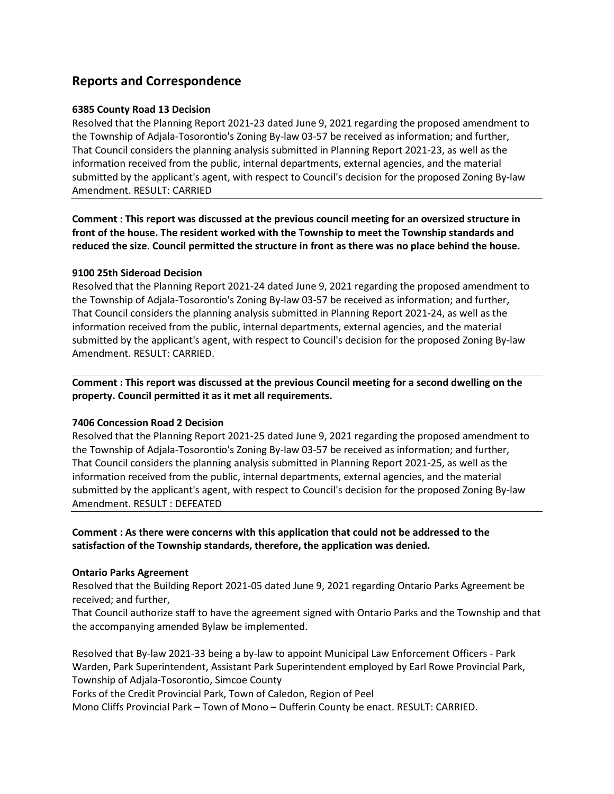# **Reports and Correspondence**

#### **6385 County Road 13 Decision**

Resolved that the Planning Report 2021-23 dated June 9, 2021 regarding the proposed amendment to the Township of Adjala-Tosorontio's Zoning By-law 03-57 be received as information; and further, That Council considers the planning analysis submitted in Planning Report 2021-23, as well as the information received from the public, internal departments, external agencies, and the material submitted by the applicant's agent, with respect to Council's decision for the proposed Zoning By-law Amendment. RESULT: CARRIED

**Comment : This report was discussed at the previous council meeting for an oversized structure in front of the house. The resident worked with the Township to meet the Township standards and reduced the size. Council permitted the structure in front as there was no place behind the house.**

#### **9100 25th Sideroad Decision**

Resolved that the Planning Report 2021-24 dated June 9, 2021 regarding the proposed amendment to the Township of Adjala-Tosorontio's Zoning By-law 03-57 be received as information; and further, That Council considers the planning analysis submitted in Planning Report 2021-24, as well as the information received from the public, internal departments, external agencies, and the material submitted by the applicant's agent, with respect to Council's decision for the proposed Zoning By-law Amendment. RESULT: CARRIED.

**Comment : This report was discussed at the previous Council meeting for a second dwelling on the property. Council permitted it as it met all requirements.**

#### **7406 Concession Road 2 Decision**

Resolved that the Planning Report 2021-25 dated June 9, 2021 regarding the proposed amendment to the Township of Adjala-Tosorontio's Zoning By-law 03-57 be received as information; and further, That Council considers the planning analysis submitted in Planning Report 2021-25, as well as the information received from the public, internal departments, external agencies, and the material submitted by the applicant's agent, with respect to Council's decision for the proposed Zoning By-law Amendment. RESULT : DEFEATED

### **Comment : As there were concerns with this application that could not be addressed to the satisfaction of the Township standards, therefore, the application was denied.**

#### **Ontario Parks Agreement**

Resolved that the Building Report 2021-05 dated June 9, 2021 regarding Ontario Parks Agreement be received; and further,

That Council authorize staff to have the agreement signed with Ontario Parks and the Township and that the accompanying amended Bylaw be implemented.

Resolved that By-law 2021-33 being a by-law to appoint Municipal Law Enforcement Officers - Park Warden, Park Superintendent, Assistant Park Superintendent employed by Earl Rowe Provincial Park, Township of Adjala-Tosorontio, Simcoe County

Forks of the Credit Provincial Park, Town of Caledon, Region of Peel

Mono Cliffs Provincial Park – Town of Mono – Dufferin County be enact. RESULT: CARRIED.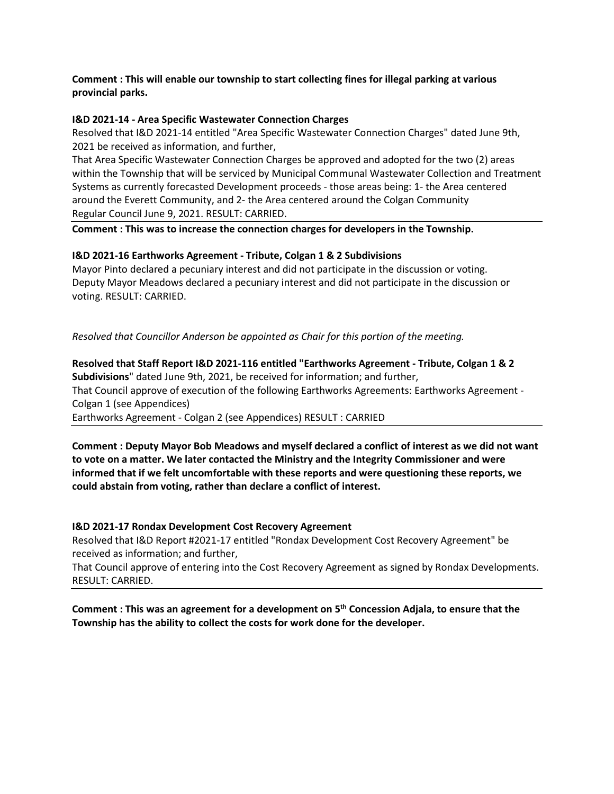#### **Comment : This will enable our township to start collecting fines for illegal parking at various provincial parks.**

#### **I&D 2021-14 - Area Specific Wastewater Connection Charges**

Resolved that I&D 2021-14 entitled "Area Specific Wastewater Connection Charges" dated June 9th, 2021 be received as information, and further,

That Area Specific Wastewater Connection Charges be approved and adopted for the two (2) areas within the Township that will be serviced by Municipal Communal Wastewater Collection and Treatment Systems as currently forecasted Development proceeds - those areas being: 1- the Area centered around the Everett Community, and 2- the Area centered around the Colgan Community Regular Council June 9, 2021. RESULT: CARRIED.

**Comment : This was to increase the connection charges for developers in the Township.**

#### **I&D 2021-16 Earthworks Agreement - Tribute, Colgan 1 & 2 Subdivisions**

Mayor Pinto declared a pecuniary interest and did not participate in the discussion or voting. Deputy Mayor Meadows declared a pecuniary interest and did not participate in the discussion or voting. RESULT: CARRIED.

*Resolved that Councillor Anderson be appointed as Chair for this portion of the meeting.*

**Resolved that Staff Report I&D 2021-116 entitled "Earthworks Agreement - Tribute, Colgan 1 & 2 Subdivisions**" dated June 9th, 2021, be received for information; and further, That Council approve of execution of the following Earthworks Agreements: Earthworks Agreement - Colgan 1 (see Appendices) Earthworks Agreement - Colgan 2 (see Appendices) RESULT : CARRIED

**Comment : Deputy Mayor Bob Meadows and myself declared a conflict of interest as we did not want to vote on a matter. We later contacted the Ministry and the Integrity Commissioner and were informed that if we felt uncomfortable with these reports and were questioning these reports, we could abstain from voting, rather than declare a conflict of interest.**

#### **I&D 2021-17 Rondax Development Cost Recovery Agreement**

Resolved that I&D Report #2021-17 entitled "Rondax Development Cost Recovery Agreement" be received as information; and further,

That Council approve of entering into the Cost Recovery Agreement as signed by Rondax Developments. RESULT: CARRIED.

**Comment : This was an agreement for a development on 5th Concession Adjala, to ensure that the Township has the ability to collect the costs for work done for the developer.**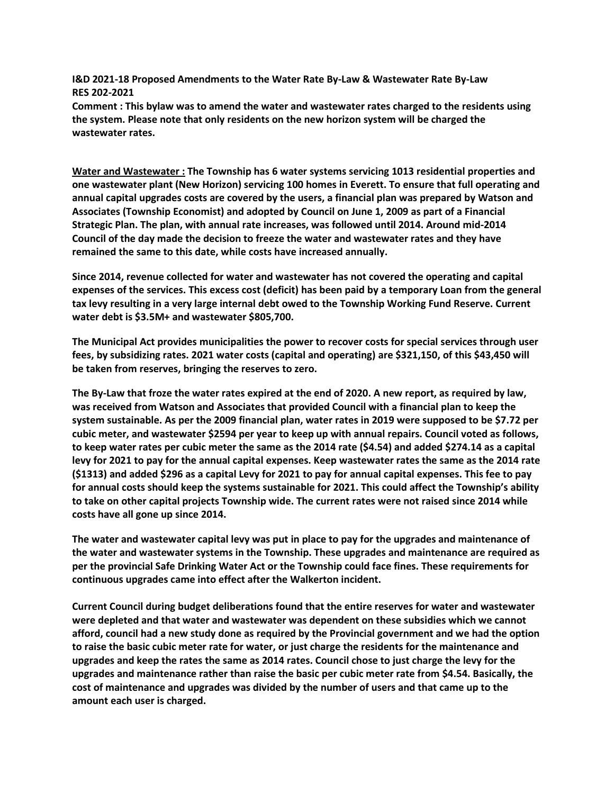**I&D 2021-18 Proposed Amendments to the Water Rate By-Law & Wastewater Rate By-Law RES 202-2021**

**Comment : This bylaw was to amend the water and wastewater rates charged to the residents using the system. Please note that only residents on the new horizon system will be charged the wastewater rates.**

**Water and Wastewater : The Township has 6 water systems servicing 1013 residential properties and one wastewater plant (New Horizon) servicing 100 homes in Everett. To ensure that full operating and annual capital upgrades costs are covered by the users, a financial plan was prepared by Watson and Associates (Township Economist) and adopted by Council on June 1, 2009 as part of a Financial Strategic Plan. The plan, with annual rate increases, was followed until 2014. Around mid-2014 Council of the day made the decision to freeze the water and wastewater rates and they have remained the same to this date, while costs have increased annually.**

**Since 2014, revenue collected for water and wastewater has not covered the operating and capital expenses of the services. This excess cost (deficit) has been paid by a temporary Loan from the general tax levy resulting in a very large internal debt owed to the Township Working Fund Reserve. Current water debt is \$3.5M+ and wastewater \$805,700.**

**The Municipal Act provides municipalities the power to recover costs for special services through user fees, by subsidizing rates. 2021 water costs (capital and operating) are \$321,150, of this \$43,450 will be taken from reserves, bringing the reserves to zero.**

**The By-Law that froze the water rates expired at the end of 2020. A new report, as required by law, was received from Watson and Associates that provided Council with a financial plan to keep the system sustainable. As per the 2009 financial plan, water rates in 2019 were supposed to be \$7.72 per cubic meter, and wastewater \$2594 per year to keep up with annual repairs. Council voted as follows, to keep water rates per cubic meter the same as the 2014 rate (\$4.54) and added \$274.14 as a capital levy for 2021 to pay for the annual capital expenses. Keep wastewater rates the same as the 2014 rate (\$1313) and added \$296 as a capital Levy for 2021 to pay for annual capital expenses. This fee to pay for annual costs should keep the systems sustainable for 2021. This could affect the Township's ability to take on other capital projects Township wide. The current rates were not raised since 2014 while costs have all gone up since 2014.** 

**The water and wastewater capital levy was put in place to pay for the upgrades and maintenance of the water and wastewater systems in the Township. These upgrades and maintenance are required as per the provincial Safe Drinking Water Act or the Township could face fines. These requirements for continuous upgrades came into effect after the Walkerton incident.**

**Current Council during budget deliberations found that the entire reserves for water and wastewater were depleted and that water and wastewater was dependent on these subsidies which we cannot afford, council had a new study done as required by the Provincial government and we had the option to raise the basic cubic meter rate for water, or just charge the residents for the maintenance and upgrades and keep the rates the same as 2014 rates. Council chose to just charge the levy for the upgrades and maintenance rather than raise the basic per cubic meter rate from \$4.54. Basically, the cost of maintenance and upgrades was divided by the number of users and that came up to the amount each user is charged.**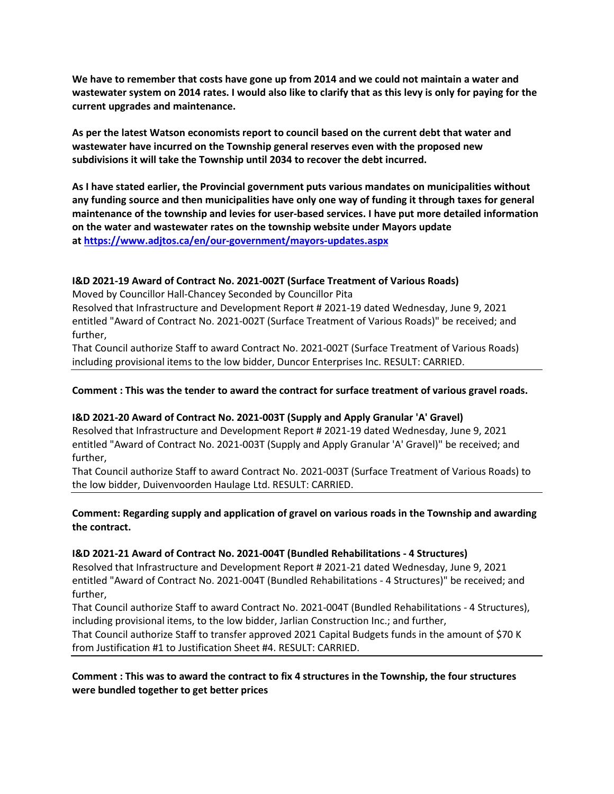**We have to remember that costs have gone up from 2014 and we could not maintain a water and wastewater system on 2014 rates. I would also like to clarify that as this levy is only for paying for the current upgrades and maintenance.**

**As per the latest Watson economists report to council based on the current debt that water and wastewater have incurred on the Township general reserves even with the proposed new subdivisions it will take the Township until 2034 to recover the debt incurred.**

**As I have stated earlier, the Provincial government puts various mandates on municipalities without any funding source and then municipalities have only one way of funding it through taxes for general maintenance of the township and levies for user-based services. I have put more detailed information on the water and wastewater rates on the township website under Mayors update at <https://www.adjtos.ca/en/our-government/mayors-updates.aspx>**

### **I&D 2021-19 Award of Contract No. 2021-002T (Surface Treatment of Various Roads)**

Moved by Councillor Hall-Chancey Seconded by Councillor Pita

Resolved that Infrastructure and Development Report # 2021-19 dated Wednesday, June 9, 2021 entitled "Award of Contract No. 2021-002T (Surface Treatment of Various Roads)" be received; and further,

That Council authorize Staff to award Contract No. 2021-002T (Surface Treatment of Various Roads) including provisional items to the low bidder, Duncor Enterprises Inc. RESULT: CARRIED.

#### **Comment : This was the tender to award the contract for surface treatment of various gravel roads.**

#### **I&D 2021-20 Award of Contract No. 2021-003T (Supply and Apply Granular 'A' Gravel)**

Resolved that Infrastructure and Development Report # 2021-19 dated Wednesday, June 9, 2021 entitled "Award of Contract No. 2021-003T (Supply and Apply Granular 'A' Gravel)" be received; and further,

That Council authorize Staff to award Contract No. 2021-003T (Surface Treatment of Various Roads) to the low bidder, Duivenvoorden Haulage Ltd. RESULT: CARRIED.

#### **Comment: Regarding supply and application of gravel on various roads in the Township and awarding the contract.**

#### **I&D 2021-21 Award of Contract No. 2021-004T (Bundled Rehabilitations - 4 Structures)**

Resolved that Infrastructure and Development Report # 2021-21 dated Wednesday, June 9, 2021 entitled "Award of Contract No. 2021-004T (Bundled Rehabilitations - 4 Structures)" be received; and further,

That Council authorize Staff to award Contract No. 2021-004T (Bundled Rehabilitations - 4 Structures), including provisional items, to the low bidder, Jarlian Construction Inc.; and further,

That Council authorize Staff to transfer approved 2021 Capital Budgets funds in the amount of \$70 K from Justification #1 to Justification Sheet #4. RESULT: CARRIED.

#### **Comment : This was to award the contract to fix 4 structures in the Township, the four structures were bundled together to get better prices**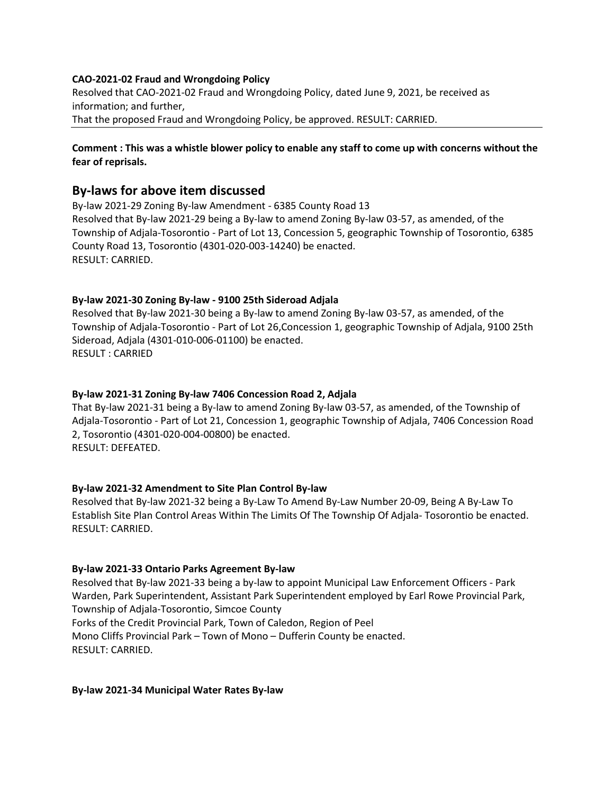#### **CAO-2021-02 Fraud and Wrongdoing Policy**

Resolved that CAO-2021-02 Fraud and Wrongdoing Policy, dated June 9, 2021, be received as information; and further, That the proposed Fraud and Wrongdoing Policy, be approved. RESULT: CARRIED.

#### **Comment : This was a whistle blower policy to enable any staff to come up with concerns without the fear of reprisals.**

## **By-laws for above item discussed**

By-law 2021-29 Zoning By-law Amendment - 6385 County Road 13 Resolved that By-law 2021-29 being a By-law to amend Zoning By-law 03-57, as amended, of the Township of Adjala-Tosorontio - Part of Lot 13, Concession 5, geographic Township of Tosorontio, 6385 County Road 13, Tosorontio (4301-020-003-14240) be enacted. RESULT: CARRIED.

#### **By-law 2021-30 Zoning By-law - 9100 25th Sideroad Adjala**

Resolved that By-law 2021-30 being a By-law to amend Zoning By-law 03-57, as amended, of the Township of Adjala-Tosorontio - Part of Lot 26,Concession 1, geographic Township of Adjala, 9100 25th Sideroad, Adjala (4301-010-006-01100) be enacted. RESULT : CARRIED

#### **By-law 2021-31 Zoning By-law 7406 Concession Road 2, Adjala**

That By-law 2021-31 being a By-law to amend Zoning By-law 03-57, as amended, of the Township of Adjala-Tosorontio - Part of Lot 21, Concession 1, geographic Township of Adjala, 7406 Concession Road 2, Tosorontio (4301-020-004-00800) be enacted. RESULT: DEFEATED.

#### **By-law 2021-32 Amendment to Site Plan Control By-law**

Resolved that By-law 2021-32 being a By-Law To Amend By-Law Number 20-09, Being A By-Law To Establish Site Plan Control Areas Within The Limits Of The Township Of Adjala- Tosorontio be enacted. RESULT: CARRIED.

#### **By-law 2021-33 Ontario Parks Agreement By-law**

Resolved that By-law 2021-33 being a by-law to appoint Municipal Law Enforcement Officers - Park Warden, Park Superintendent, Assistant Park Superintendent employed by Earl Rowe Provincial Park, Township of Adjala-Tosorontio, Simcoe County Forks of the Credit Provincial Park, Town of Caledon, Region of Peel Mono Cliffs Provincial Park – Town of Mono – Dufferin County be enacted. RESULT: CARRIED.

**By-law 2021-34 Municipal Water Rates By-law**